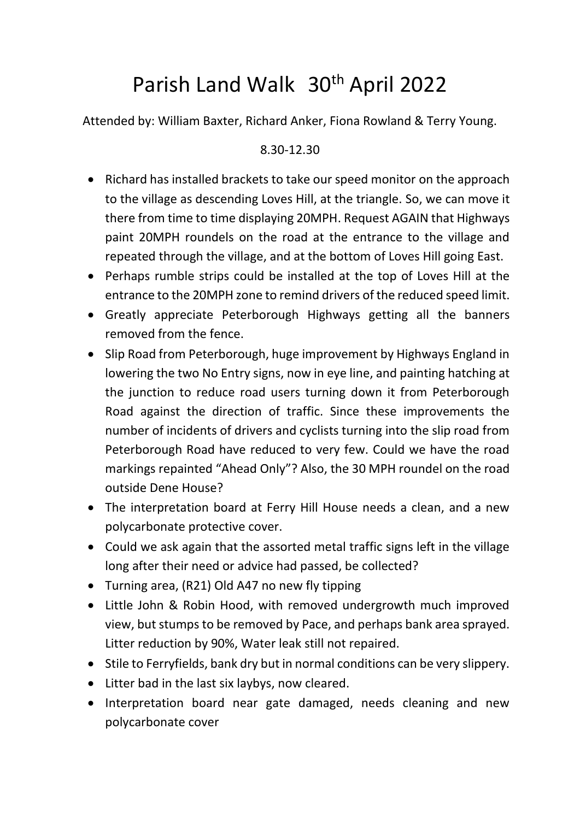## Parish Land Walk 30th April 2022

Attended by: William Baxter, Richard Anker, Fiona Rowland & Terry Young.

## 8.30-12.30

- Richard has installed brackets to take our speed monitor on the approach to the village as descending Loves Hill, at the triangle. So, we can move it there from time to time displaying 20MPH. Request AGAIN that Highways paint 20MPH roundels on the road at the entrance to the village and repeated through the village, and at the bottom of Loves Hill going East.
- Perhaps rumble strips could be installed at the top of Loves Hill at the entrance to the 20MPH zone to remind drivers of the reduced speed limit.
- Greatly appreciate Peterborough Highways getting all the banners removed from the fence.
- Slip Road from Peterborough, huge improvement by Highways England in lowering the two No Entry signs, now in eye line, and painting hatching at the junction to reduce road users turning down it from Peterborough Road against the direction of traffic. Since these improvements the number of incidents of drivers and cyclists turning into the slip road from Peterborough Road have reduced to very few. Could we have the road markings repainted "Ahead Only"? Also, the 30 MPH roundel on the road outside Dene House?
- The interpretation board at Ferry Hill House needs a clean, and a new polycarbonate protective cover.
- Could we ask again that the assorted metal traffic signs left in the village long after their need or advice had passed, be collected?
- Turning area, (R21) Old A47 no new fly tipping
- Little John & Robin Hood, with removed undergrowth much improved view, but stumps to be removed by Pace, and perhaps bank area sprayed. Litter reduction by 90%, Water leak still not repaired.
- Stile to Ferryfields, bank dry but in normal conditions can be very slippery.
- Litter bad in the last six laybys, now cleared.
- Interpretation board near gate damaged, needs cleaning and new polycarbonate cover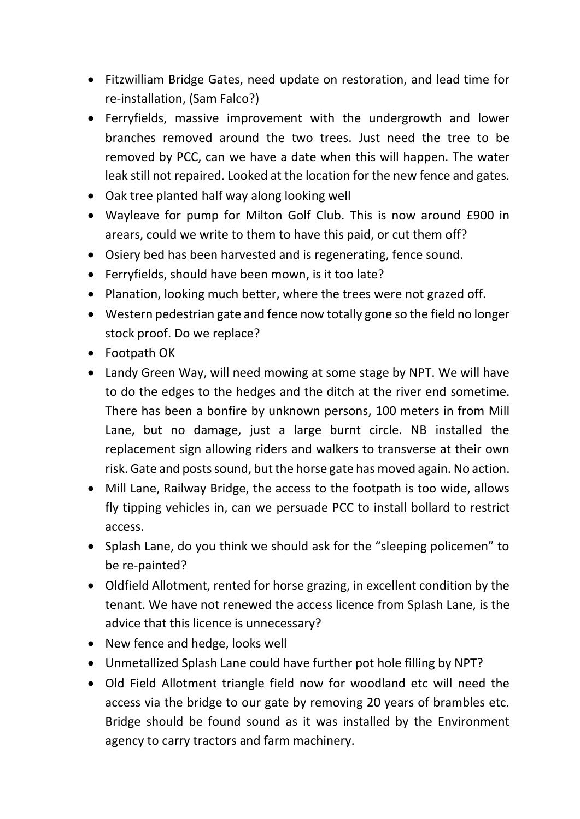- Fitzwilliam Bridge Gates, need update on restoration, and lead time for re-installation, (Sam Falco?)
- Ferryfields, massive improvement with the undergrowth and lower branches removed around the two trees. Just need the tree to be removed by PCC, can we have a date when this will happen. The water leak still not repaired. Looked at the location for the new fence and gates.
- Oak tree planted half way along looking well
- Wayleave for pump for Milton Golf Club. This is now around £900 in arears, could we write to them to have this paid, or cut them off?
- Osiery bed has been harvested and is regenerating, fence sound.
- Ferryfields, should have been mown, is it too late?
- Planation, looking much better, where the trees were not grazed off.
- Western pedestrian gate and fence now totally gone so the field no longer stock proof. Do we replace?
- Footpath OK
- Landy Green Way, will need mowing at some stage by NPT. We will have to do the edges to the hedges and the ditch at the river end sometime. There has been a bonfire by unknown persons, 100 meters in from Mill Lane, but no damage, just a large burnt circle. NB installed the replacement sign allowing riders and walkers to transverse at their own risk. Gate and posts sound, but the horse gate has moved again. No action.
- Mill Lane, Railway Bridge, the access to the footpath is too wide, allows fly tipping vehicles in, can we persuade PCC to install bollard to restrict access.
- Splash Lane, do you think we should ask for the "sleeping policemen" to be re-painted?
- Oldfield Allotment, rented for horse grazing, in excellent condition by the tenant. We have not renewed the access licence from Splash Lane, is the advice that this licence is unnecessary?
- New fence and hedge, looks well
- Unmetallized Splash Lane could have further pot hole filling by NPT?
- Old Field Allotment triangle field now for woodland etc will need the access via the bridge to our gate by removing 20 years of brambles etc. Bridge should be found sound as it was installed by the Environment agency to carry tractors and farm machinery.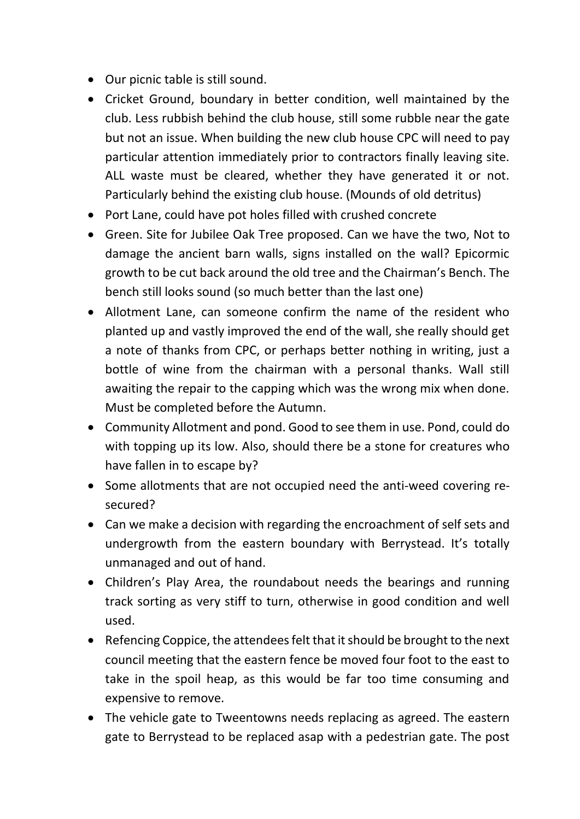- Our picnic table is still sound.
- Cricket Ground, boundary in better condition, well maintained by the club. Less rubbish behind the club house, still some rubble near the gate but not an issue. When building the new club house CPC will need to pay particular attention immediately prior to contractors finally leaving site. ALL waste must be cleared, whether they have generated it or not. Particularly behind the existing club house. (Mounds of old detritus)
- Port Lane, could have pot holes filled with crushed concrete
- Green. Site for Jubilee Oak Tree proposed. Can we have the two, Not to damage the ancient barn walls, signs installed on the wall? Epicormic growth to be cut back around the old tree and the Chairman's Bench. The bench still looks sound (so much better than the last one)
- Allotment Lane, can someone confirm the name of the resident who planted up and vastly improved the end of the wall, she really should get a note of thanks from CPC, or perhaps better nothing in writing, just a bottle of wine from the chairman with a personal thanks. Wall still awaiting the repair to the capping which was the wrong mix when done. Must be completed before the Autumn.
- Community Allotment and pond. Good to see them in use. Pond, could do with topping up its low. Also, should there be a stone for creatures who have fallen in to escape by?
- Some allotments that are not occupied need the anti-weed covering resecured?
- Can we make a decision with regarding the encroachment of self sets and undergrowth from the eastern boundary with Berrystead. It's totally unmanaged and out of hand.
- Children's Play Area, the roundabout needs the bearings and running track sorting as very stiff to turn, otherwise in good condition and well used.
- Refencing Coppice, the attendees felt that it should be brought to the next council meeting that the eastern fence be moved four foot to the east to take in the spoil heap, as this would be far too time consuming and expensive to remove.
- The vehicle gate to Tweentowns needs replacing as agreed. The eastern gate to Berrystead to be replaced asap with a pedestrian gate. The post